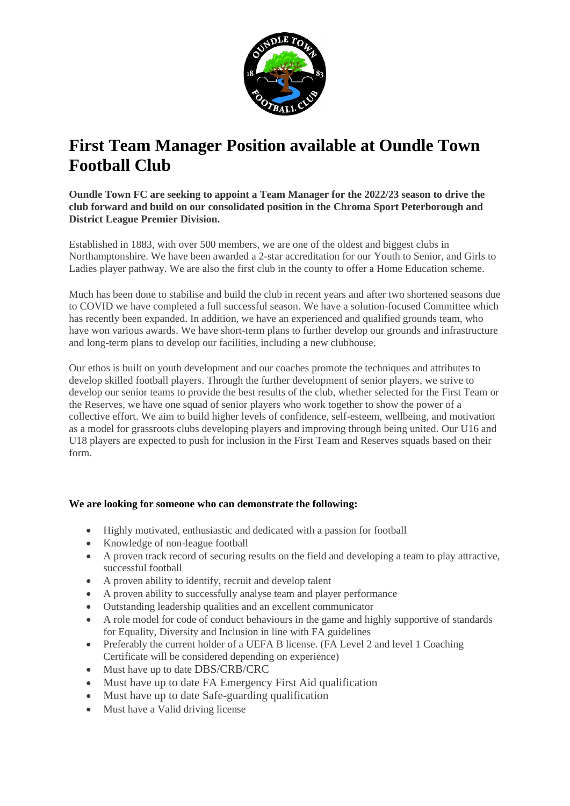

## **First Team Manager Position available at Oundle Town Football Club**

**Oundle Town FC are seeking to appoint a Team Manager for the 2022/23 season to drive the club forward and build on our consolidated position in the Chroma Sport Peterborough and District League Premier Division.**

Established in 1883, with over 500 members, we are one of the oldest and biggest clubs in Northamptonshire. We have been awarded a 2-star accreditation for our Youth to Senior, and Girls to Ladies player pathway. We are also the first club in the county to offer a Home Education scheme.

Much has been done to stabilise and build the club in recent years and after two shortened seasons due to COVID we have completed a full successful season. We have a solution-focused Committee which has recently been expanded. In addition, we have an experienced and qualified grounds team, who have won various awards. We have short-term plans to further develop our grounds and infrastructure and long-term plans to develop our facilities, including a new clubhouse.

Our ethos is built on youth development and our coaches promote the techniques and attributes to develop skilled football players. Through the further development of senior players, we strive to develop our senior teams to provide the best results of the club, whether selected for the First Team or the Reserves, we have one squad of senior players who work together to show the power of a collective effort. We aim to build higher levels of confidence, self-esteem, wellbeing, and motivation as a model for grassroots clubs developing players and improving through being united. Our U16 and U18 players are expected to push for inclusion in the First Team and Reserves squads based on their form.

## **We are looking for someone who can demonstrate the following:**

- Highly motivated, enthusiastic and dedicated with a passion for football
- Knowledge of non-league football
- A proven track record of securing results on the field and developing a team to play attractive, successful football
- A proven ability to identify, recruit and develop talent
- A proven ability to successfully analyse team and player performance
- Outstanding leadership qualities and an excellent communicator
- A role model for code of conduct behaviours in the game and highly supportive of standards for Equality, Diversity and Inclusion in line with FA guidelines
- Preferably the current holder of a UEFA B license. (FA Level 2 and level 1 Coaching Certificate will be considered depending on experience)
- Must have up to date DBS/CRB/CRC
- Must have up to date FA Emergency First Aid qualification
- Must have up to date Safe-guarding qualification
- Must have a Valid driving license